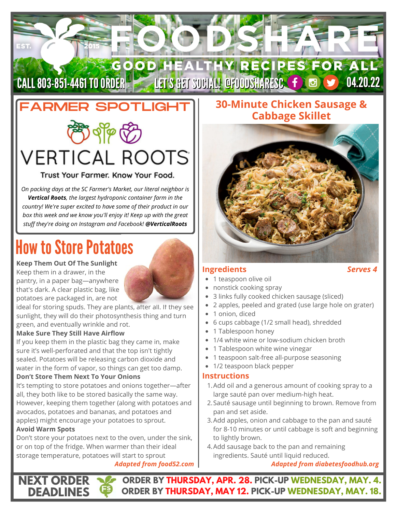## GOOD HEALTHY RECIPES FOR ALL CALL 803-851-4461 TO ORDER LET'S GET SUCIAL! @FOODSHARESC (f) @ (9) 04.20.22

# FARMER SPOTLIGHT

# **VERTICAL ROOTS**

### Trust Your Farmer, Know Your Food.

*On packing days at the SC Farmer's Market, our literal neighbor is Vertical Roots, the largest hydroponic container farm in the country! We're super excited to have some of their product in our box this week and we know you'll enjoy it! Keep up with the great stuff they're doing on Instagram and Facebook! @VerticalRoots*

# **How to Store Potatoes**

### **Keep Them Out Of The Sunlight**

EST.

Keep them in a drawer, in the pantry, in a paper bag—anywhere that's dark. A clear plastic bag, like potatoes are packaged in, are not

ideal for storing spuds. They are plants, after all. If they see sunlight, they will do their photosynthesis thing and turn green, and eventually wrinkle and rot.

### **Make Sure They Still Have Airflow**

If you keep them in the plastic bag they came in, make sure it's well-perforated and that the top isn't tightly sealed. Potatoes will be releasing carbon dioxide and water in the form of vapor, so things can get too damp.

### **Don't Store Them Next To Your Onions**

It's tempting to store potatoes and onions together—after all, they both like to be stored basically the same way. However, keeping them together (along with potatoes and [avocados](https://food52.com/blog/11020-how-to-keep-an-avocado-from-browning), potatoes and bananas, and potatoes and apples) might encourage your potatoes to sprout.

### **Avoid Warm Spots**

**NEXT ORDER DEADLINES**

Don't store your potatoes next to the oven, under the sink, or on top of the fridge. When warmer than their ideal storage temperature, potatoes will start to sprout

### *Adapted from food52.com*

### **30-Minute Chicken Sausage & Cabbage Skillet**



### **Ingredients** *Serves 4*

- 1 teaspoon olive oil
- nonstick cooking spray
- 3 links fully cooked chicken sausage (sliced)
- 2 apples, peeled and grated (use large hole on grater)
- 1 onion, diced
- 6 cups cabbage (1/2 small head), shredded
- 1 Tablespoon honey
- 1/4 white wine or low-sodium chicken broth
- 1 Tablespoon white wine vinegar
- 1 teaspoon salt-free all-purpose seasoning
- 1/2 teaspoon black pepper

### **Instructions**

- Add oil and a generous amount of cooking spray to a 1. large sauté pan over medium-high heat.
- 2. Sauté sausage until beginning to brown. Remove from pan and set aside.
- 3. Add apples, onion and cabbage to the pan and sauté for 8-10 minutes or until cabbage is soft and beginning to lightly brown.
- 4. Add sausage back to the pan and remaining ingredients. Sauté until liquid reduced.

*Adapted from diabetesfoodhub.org*

**ORDER BY THURSDAY, APR. 28. PICK-UP WEDNESDAY, MAY. 4. ORDER BY THURSDAY, MAY 12. PICK-UP WEDNESDAY, MAY. 18.**